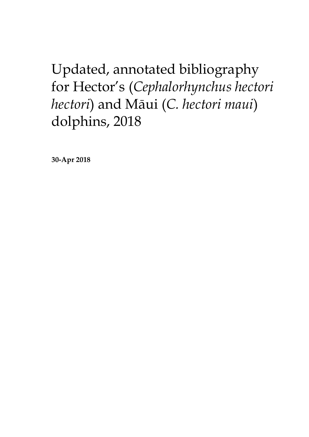# Updated, annotated bibliography for Hector's (*Cephalorhynchus hectori hectori*) and Māui (*C. hectori maui*) dolphins, 2018

**30-Apr 2018**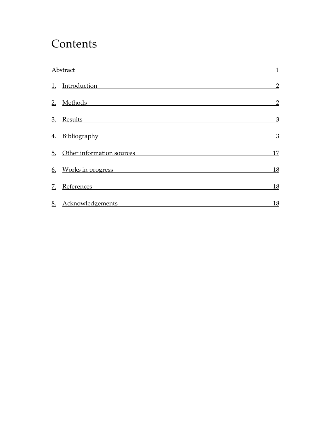## **Contents**

| Abstract  |                           | $\mathbf{1}$   |
|-----------|---------------------------|----------------|
| <u>1.</u> | Introduction              | $\overline{2}$ |
| <u>2.</u> | Methods                   | $\overline{2}$ |
| <u>3.</u> | Results                   | $\mathfrak 3$  |
| <u>4.</u> | Bibliography              | $\overline{3}$ |
| <u>5.</u> | Other information sources | 17             |
|           | 6. Works in progress      | 18             |
| <u>7.</u> | References                | <u>18</u>      |
| <u>8.</u> | <b>Acknowledgements</b>   | <u>18</u>      |
|           |                           |                |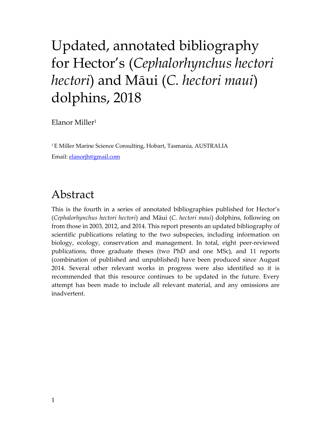# Updated, annotated bibliography for Hector's (*Cephalorhynchus hectori hectori*) and Māui (*C. hectori maui*) dolphins, 2018

Elanor Miller1

<sup>1</sup>E Miller Marine Science Consulting, Hobart, Tasmania, AUSTRALIA Email: [elanorjh@gmail.com](mailto:elanorjh@gmail.com)

## Abstract

This is the fourth in a series of annotated bibliographies published for Hector's (*Cephalorhynchus hectori hectori*) and Māui (*C. hectori maui*) dolphins, following on from those in 2003, 2012, and 2014. This report presents an updated bibliography of scientific publications relating to the two subspecies, including information on biology, ecology, conservation and management. In total, eight peer-reviewed publications, three graduate theses (two PhD and one MSc), and 11 reports (combination of published and unpublished) have been produced since August 2014. Several other relevant works in progress were also identified so it is recommended that this resource continues to be updated in the future. Every attempt has been made to include all relevant material, and any omissions are inadvertent.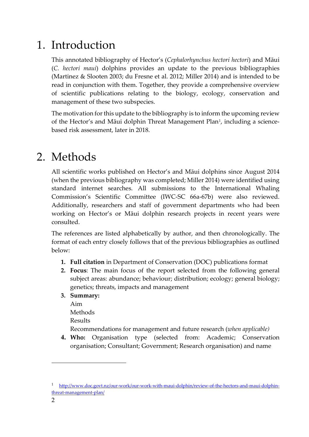## 1. Introduction

This annotated bibliography of Hector's (*Cephalorhynchus hectori hectori*) and Māui (*C. hectori maui*) dolphins provides an update to the previous bibliographies (Martinez & Slooten 2003; du Fresne et al. 2012; Miller 2014) and is intended to be read in conjunction with them. Together, they provide a comprehensive overview of scientific publications relating to the biology, ecology, conservation and management of these two subspecies.

The motivation for this update to the bibliography is to inform the upcoming review of the Hector's and Māui dolphin Threat Management Plan<sup>[1](#page-3-0)</sup>, including a sciencebased risk assessment, later in 2018.

## 2. Methods

All scientific works published on Hector's and Māui dolphins since August 2014 (when the previous bibliography was completed; Miller 2014) were identified using standard internet searches. All submissions to the International Whaling Commission's Scientific Committee (IWC-SC 66a-67b) were also reviewed. Additionally, researchers and staff of government departments who had been working on Hector's or Māui dolphin research projects in recent years were consulted.

The references are listed alphabetically by author, and then chronologically. The format of each entry closely follows that of the previous bibliographies as outlined below:

- **1. Full citation** in Department of Conservation (DOC) publications format
- **2. Focus**: The main focus of the report selected from the following general subject areas: abundance; behaviour; distribution; ecology; general biology; genetics; threats, impacts and management
- **3. Summary:** 
	- Aim Methods Results

Recommendations for management and future research (*when applicable)*

**4. Who:** Organisation type (selected from: Academic; Conservation organisation; Consultant; Government; Research organisation) and name

 $\overline{a}$ 

<span id="page-3-0"></span><sup>1</sup> [http://www.doc.govt.nz/our-work/our-work-with-maui-dolphin/review-of-the-hectors-and-maui-dolphin](http://www.doc.govt.nz/our-work/our-work-with-maui-dolphin/review-of-the-hectors-and-maui-dolphin-threat-management-plan/)[threat-management-plan/](http://www.doc.govt.nz/our-work/our-work-with-maui-dolphin/review-of-the-hectors-and-maui-dolphin-threat-management-plan/)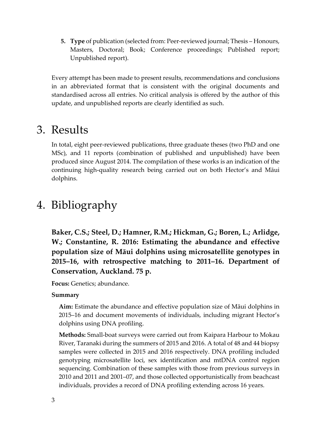**5. Type** of publication (selected from: Peer-reviewed journal; Thesis – Honours, Masters, Doctoral; Book; Conference proceedings; Published report; Unpublished report).

Every attempt has been made to present results, recommendations and conclusions in an abbreviated format that is consistent with the original documents and standardised across all entries. No critical analysis is offered by the author of this update, and unpublished reports are clearly identified as such.

## 3. Results

In total, eight peer-reviewed publications, three graduate theses (two PhD and one MSc), and 11 reports (combination of published and unpublished) have been produced since August 2014. The compilation of these works is an indication of the continuing high-quality research being carried out on both Hector's and Māui dolphins.

## 4. Bibliography

**Baker, C.S.; Steel, D.; Hamner, R.M.; Hickman, G.; Boren, L.; Arlidge, W.; Constantine, R. 2016: Estimating the abundance and effective population size of Māui dolphins using microsatellite genotypes in 2015–16, with retrospective matching to 2011–16. Department of Conservation, Auckland. 75 p.**

**Focus:** Genetics; abundance.

#### **Summary**

**Aim:** Estimate the abundance and effective population size of Māui dolphins in 2015–16 and document movements of individuals, including migrant Hector's dolphins using DNA profiling.

**Methods:** Small-boat surveys were carried out from Kaipara Harbour to Mokau River, Taranaki during the summers of 2015 and 2016. A total of 48 and 44 biopsy samples were collected in 2015 and 2016 respectively. DNA profiling included genotyping microsatellite loci, sex identification and mtDNA control region sequencing. Combination of these samples with those from previous surveys in 2010 and 2011 and 2001–07, and those collected opportunistically from beachcast individuals, provides a record of DNA profiling extending across 16 years.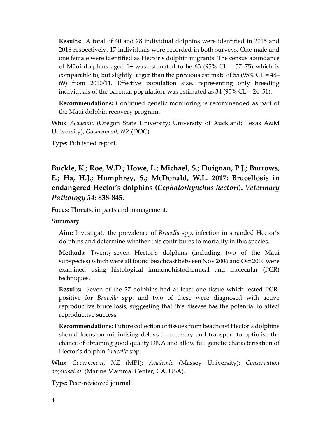**Results:** A total of 40 and 28 individual dolphins were identified in 2015 and 2016 respectively. 17 individuals were recorded in both surveys. One male and one female were identified as Hector's dolphin migrants. The census abundance of Māui dolphins aged 1+ was estimated to be 63 (95%  $CL = 57-75$ ) which is comparable to, but slightly larger than the previous estimate of 55 (95%  $CL = 48-$ 69) from 2010/11. Effective population size, representing only breeding individuals of the parental population, was estimated as  $34$  (95% CL = 24–51).

**Recommendations:** Continued genetic monitoring is recommended as part of the Māui dolphin recovery program.

**Who:** *Academic* (Oregon State University; University of Auckland; Texas A&M University); *Government, NZ* (DOC).

**Type:** Published report.

## **Buckle, K.; Roe, W.D.; Howe, L.; Michael, S.; Duignan, P.J.; Burrows, E.; Ha, H.J.; Humphrey, S.; McDonald, W.L. 2017: Brucellosis in endangered Hector's dolphins (***Cephalorhynchus hectori***).** *Veterinary Pathology 54:* **838-845.**

**Focus:** Threats, impacts and management.

#### **Summary**

**Aim:** Investigate the prevalence of *Brucella* spp. infection in stranded Hector's dolphins and determine whether this contributes to mortality in this species.

**Methods:** Twenty-seven Hector's dolphins (including two of the Māui subspecies) which were all found beachcast between Nov 2006 and Oct 2010 were examined using histological immunohistochemical and molecular (PCR) techniques.

**Results:** Seven of the 27 dolphins had at least one tissue which tested PCRpositive for *Brucella* spp. and two of these were diagnosed with active reproductive brucellosis, suggesting that this disease has the potential to affect reproductive success.

**Recommendations:** Future collection of tissues from beachcast Hector's dolphins should focus on minimising delays in recovery and transport to optimise the chance of obtaining good quality DNA and allow full genetic characterisation of Hector's dolphin *Brucella* spp.

**Who:** *Government, NZ* (MPI); *Academic* (Massey University); *Conservation organisation* (Marine Mammal Center, CA, USA).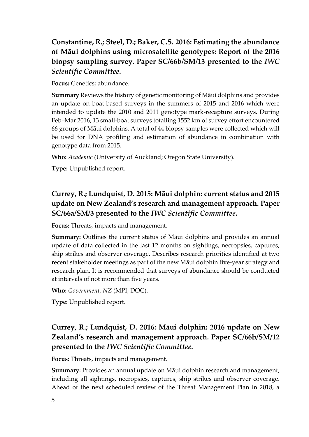## **Constantine, R.; Steel, D.; Baker, C.S. 2016: Estimating the abundance of Māui dolphins using microsatellite genotypes: Report of the 2016 biopsy sampling survey. Paper SC/66b/SM/13 presented to the** *IWC Scientific Committee.*

**Focus:** Genetics; abundance.

**Summary** Reviews the history of genetic monitoring of Māui dolphins and provides an update on boat-based surveys in the summers of 2015 and 2016 which were intended to update the 2010 and 2011 genotype mark-recapture surveys. During Feb–Mar 2016, 13 small-boat surveys totalling 1552 km of survey effort encountered 66 groups of Māui dolphins. A total of 44 biopsy samples were collected which will be used for DNA profiling and estimation of abundance in combination with genotype data from 2015.

**Who:** *Academic* (University of Auckland; Oregon State University).

**Type:** Unpublished report.

## **Currey, R.; Lundquist, D. 2015: Māui dolphin: current status and 2015 update on New Zealand's research and management approach. Paper SC/66a/SM/3 presented to the** *IWC Scientific Committee.*

**Focus:** Threats, impacts and management.

**Summary:** Outlines the current status of Māui dolphins and provides an annual update of data collected in the last 12 months on sightings, necropsies, captures, ship strikes and observer coverage. Describes research priorities identified at two recent stakeholder meetings as part of the new Māui dolphin five-year strategy and research plan. It is recommended that surveys of abundance should be conducted at intervals of not more than five years.

**Who:** *Government, NZ* (MPI; DOC).

**Type:** Unpublished report.

## **Currey, R.; Lundquist, D. 2016: Māui dolphin: 2016 update on New Zealand's research and management approach. Paper SC/66b/SM/12 presented to the** *IWC Scientific Committee.*

**Focus:** Threats, impacts and management.

**Summary:** Provides an annual update on Māui dolphin research and management, including all sightings, necropsies, captures, ship strikes and observer coverage. Ahead of the next scheduled review of the Threat Management Plan in 2018, a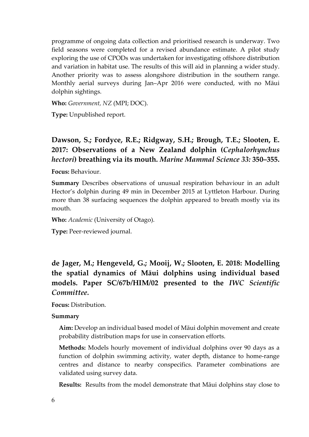programme of ongoing data collection and prioritised research is underway. Two field seasons were completed for a revised abundance estimate. A pilot study exploring the use of CPODs was undertaken for investigating offshore distribution and variation in habitat use. The results of this will aid in planning a wider study. Another priority was to assess alongshore distribution in the southern range. Monthly aerial surveys during Jan–Apr 2016 were conducted, with no Māui dolphin sightings.

**Who:** *Government, NZ* (MPI; DOC).

**Type:** Unpublished report.

### **Dawson, S.; Fordyce, R.E.; Ridgway, S.H.; Brough, T.E.; Slooten, E. 2017: Observations of a New Zealand dolphin (***Cephalorhynchus hectori***) breathing via its mouth.** *Marine Mammal Science 33:* **350–355.**

**Focus:** Behaviour.

**Summary** Describes observations of unusual respiration behaviour in an adult Hector's dolphin during 49 min in December 2015 at Lyttleton Harbour. During more than 38 surfacing sequences the dolphin appeared to breath mostly via its mouth.

**Who:** *Academic* (University of Otago).

**Type:** Peer-reviewed journal.

## **de Jager, M.; Hengeveld, G.; Mooij, W.; Slooten, E. 2018: Modelling the spatial dynamics of Māui dolphins using individual based models. Paper SC/67b/HIM/02 presented to the** *IWC Scientific Committee.*

**Focus:** Distribution.

#### **Summary**

**Aim:** Develop an individual based model of Māui dolphin movement and create probability distribution maps for use in conservation efforts.

**Methods:** Models hourly movement of individual dolphins over 90 days as a function of dolphin swimming activity, water depth, distance to home-range centres and distance to nearby conspecifics. Parameter combinations are validated using survey data.

**Results:** Results from the model demonstrate that Māui dolphins stay close to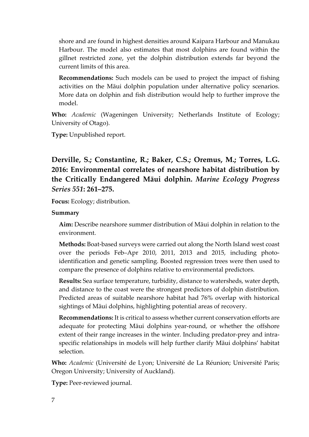shore and are found in highest densities around Kaipara Harbour and Manukau Harbour. The model also estimates that most dolphins are found within the gillnet restricted zone, yet the dolphin distribution extends far beyond the current limits of this area.

**Recommendations:** Such models can be used to project the impact of fishing activities on the Māui dolphin population under alternative policy scenarios. More data on dolphin and fish distribution would help to further improve the model.

**Who:** *Academic* (Wageningen University; Netherlands Institute of Ecology; University of Otago).

**Type:** Unpublished report.

### **Derville, S.; Constantine, R.; Baker, C.S.; Oremus, M.; Torres, L.G. 2016: Environmental correlates of nearshore habitat distribution by the Critically Endangered Māui dolphin.** *Marine Ecology Progress Series 551***: 261–275.**

**Focus:** Ecology; distribution.

#### **Summary**

**Aim:** Describe nearshore summer distribution of Māui dolphin in relation to the environment.

**Methods:** Boat-based surveys were carried out along the North Island west coast over the periods Feb–Apr 2010, 2011, 2013 and 2015, including photoidentification and genetic sampling. Boosted regression trees were then used to compare the presence of dolphins relative to environmental predictors.

**Results:** Sea surface temperature, turbidity, distance to watersheds, water depth, and distance to the coast were the strongest predictors of dolphin distribution. Predicted areas of suitable nearshore habitat had 76% overlap with historical sightings of Māui dolphins, highlighting potential areas of recovery.

**Recommendations:** It is critical to assess whether current conservation efforts are adequate for protecting Māui dolphins year-round, or whether the offshore extent of their range increases in the winter. Including predator-prey and intraspecific relationships in models will help further clarify Māui dolphins' habitat selection.

**Who:** *Academic* (Université de Lyon; Université de La Réunion; Université Paris; Oregon University; University of Auckland).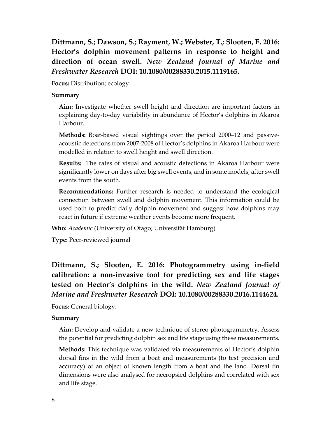**Dittmann, S.; Dawson, S.; Rayment, W.; Webster, T.; Slooten, E. 2016: Hector's dolphin movement patterns in response to height and direction of ocean swell.** *New Zealand Journal of Marine and Freshwater Research* **DOI: 10.1080/00288330.2015.1119165.**

**Focus:** Distribution; ecology.

#### **Summary**

**Aim:** Investigate whether swell height and direction are important factors in explaining day-to-day variability in abundance of Hector's dolphins in Akaroa Harbour.

**Methods:** Boat-based visual sightings over the period 2000–12 and passiveacoustic detections from 2007-2008 of Hector's dolphins in Akaroa Harbour were modelled in relation to swell height and swell direction.

**Results:** The rates of visual and acoustic detections in Akaroa Harbour were significantly lower on days after big swell events, and in some models, after swell events from the south.

**Recommendations:** Further research is needed to understand the ecological connection between swell and dolphin movement. This information could be used both to predict daily dolphin movement and suggest how dolphins may react in future if extreme weather events become more frequent.

**Who:** *Academic* (University of Otago; Universität Hamburg)

**Type:** Peer-reviewed journal

### **Dittmann, S.; Slooten, E. 2016: Photogrammetry using in-field calibration: a non-invasive tool for predicting sex and life stages tested on Hector's dolphins in the wild.** *New Zealand Journal of Marine and Freshwater Research* **DOI: 10.1080/00288330.2016.1144624.**

**Focus:** General biology.

#### **Summary**

**Aim:** Develop and validate a new technique of stereo-photogrammetry. Assess the potential for predicting dolphin sex and life stage using these measurements.

**Methods:** This technique was validated via measurements of Hector's dolphin dorsal fins in the wild from a boat and measurements (to test precision and accuracy) of an object of known length from a boat and the land. Dorsal fin dimensions were also analysed for necropsied dolphins and correlated with sex and life stage.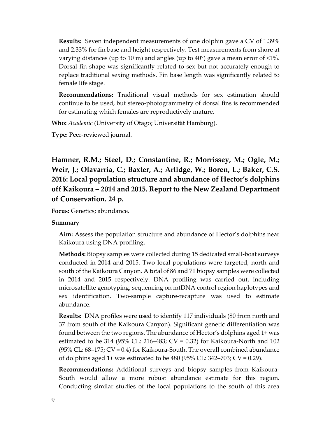**Results:** Seven independent measurements of one dolphin gave a CV of 1.39% and 2.33% for fin base and height respectively. Test measurements from shore at varying distances (up to 10 m) and angles (up to 40°) gave a mean error of <1%. Dorsal fin shape was significantly related to sex but not accurately enough to replace traditional sexing methods. Fin base length was significantly related to female life stage.

**Recommendations:** Traditional visual methods for sex estimation should continue to be used, but stereo-photogrammetry of dorsal fins is recommended for estimating which females are reproductively mature.

**Who:** *Academic* (University of Otago; Universität Hamburg).

**Type:** Peer-reviewed journal.

**Hamner, R.M.; Steel, D.; Constantine, R.; Morrissey, M.; Ogle, M.; Weir, J.; Olavarria, C.; Baxter, A.; Arlidge, W.; Boren, L.; Baker, C.S. 2016: Local population structure and abundance of Hector's dolphins off Kaikoura – 2014 and 2015. Report to the New Zealand Department of Conservation. 24 p.**

**Focus:** Genetics; abundance.

#### **Summary**

**Aim:** Assess the population structure and abundance of Hector's dolphins near Kaikoura using DNA profiling.

**Methods:** Biopsy samples were collected during 15 dedicated small-boat surveys conducted in 2014 and 2015. Two local populations were targeted, north and south of the Kaikoura Canyon. A total of 86 and 71 biopsy samples were collected in 2014 and 2015 respectively. DNA profiling was carried out, including microsatellite genotyping, sequencing on mtDNA control region haplotypes and sex identification. Two-sample capture-recapture was used to estimate abundance.

**Results:** DNA profiles were used to identify 117 individuals (80 from north and 37 from south of the Kaikoura Canyon). Significant genetic differentiation was found between the two regions. The abundance of Hector's dolphins aged 1+ was estimated to be 314 (95% CL: 216–483; CV = 0.32) for Kaikoura-North and 102 (95% CL: 68–175; CV = 0.4) for Kaikoura-South. The overall combined abundance of dolphins aged 1+ was estimated to be 480 (95% CL: 342–703; CV = 0.29).

**Recommendations:** Additional surveys and biopsy samples from Kaikoura-South would allow a more robust abundance estimate for this region. Conducting similar studies of the local populations to the south of this area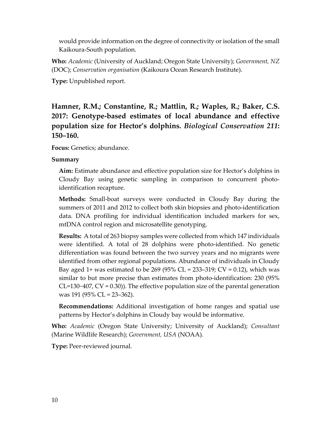would provide information on the degree of connectivity or isolation of the small Kaikoura-South population.

**Who:** *Academic* (University of Auckland; Oregon State University); *Government, NZ* (DOC); *Conservation organisation* (Kaikoura Ocean Research Institute).

**Type:** Unpublished report.

## **Hamner, R.M.; Constantine, R.; Mattlin, R.; Waples, R.; Baker, C.S. 2017: Genotype-based estimates of local abundance and effective population size for Hector's dolphins.** *Biological Conservation 211***: 150–160.**

**Focus:** Genetics; abundance.

#### **Summary**

**Aim:** Estimate abundance and effective population size for Hector's dolphins in Cloudy Bay using genetic sampling in comparison to concurrent photoidentification recapture.

**Methods:** Small-boat surveys were conducted in Cloudy Bay during the summers of 2011 and 2012 to collect both skin biopsies and photo-identification data. DNA profiling for individual identification included markers for sex, mtDNA control region and microsatellite genotyping.

**Results:** A total of 263 biopsy samples were collected from which 147 individuals were identified. A total of 28 dolphins were photo-identified. No genetic differentiation was found between the two survey years and no migrants were identified from other regional populations. Abundance of individuals in Cloudy Bay aged 1+ was estimated to be 269 (95% CL = 233–319; CV = 0.12), which was similar to but more precise than estimates from photo-identification: 230 (95% CL=130−407, CV = 0.30)). The effective population size of the parental generation was 191 (95% CL = 23–362).

**Recommendations:** Additional investigation of home ranges and spatial use patterns by Hector's dolphins in Cloudy bay would be informative.

**Who:** *Academic* (Oregon State University; University of Auckland); *Consultant* (Marine Wildlife Research); *Government, USA* (NOAA).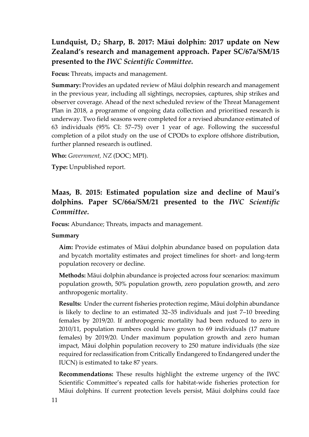### **Lundquist, D.; Sharp, B. 2017: Māui dolphin: 2017 update on New Zealand's research and management approach. Paper SC/67a/SM/15 presented to the** *IWC Scientific Committee.*

**Focus:** Threats, impacts and management.

**Summary:** Provides an updated review of Māui dolphin research and management in the previous year, including all sightings, necropsies, captures, ship strikes and observer coverage. Ahead of the next scheduled review of the Threat Management Plan in 2018, a programme of ongoing data collection and prioritised research is underway. Two field seasons were completed for a revised abundance estimated of 63 individuals (95% CI: 57–75) over 1 year of age. Following the successful completion of a pilot study on the use of CPODs to explore offshore distribution, further planned research is outlined.

**Who:** *Government, NZ* (DOC; MPI).

**Type:** Unpublished report.

### **Maas, B. 2015: Estimated population size and decline of Maui's dolphins. Paper SC/66a/SM/21 presented to the** *IWC Scientific Committee.*

**Focus:** Abundance; Threats, impacts and management.

#### **Summary**

**Aim:** Provide estimates of Māui dolphin abundance based on population data and bycatch mortality estimates and project timelines for short- and long-term population recovery or decline.

**Methods:** Māui dolphin abundance is projected across four scenarios: maximum population growth, 50% population growth, zero population growth, and zero anthropogenic mortality.

**Results:** Under the current fisheries protection regime, Māui dolphin abundance is likely to decline to an estimated 32–35 individuals and just 7–10 breeding females by 2019/20. If anthropogenic mortality had been reduced to zero in 2010/11, population numbers could have grown to 69 individuals (17 mature females) by 2019/20. Under maximum population growth and zero human impact, Māui dolphin population recovery to 250 mature individuals (the size required for reclassification from Critically Endangered to Endangered under the IUCN) is estimated to take 87 years.

**Recommendations:** These results highlight the extreme urgency of the IWC Scientific Committee's repeated calls for habitat-wide fisheries protection for Māui dolphins. If current protection levels persist, Māui dolphins could face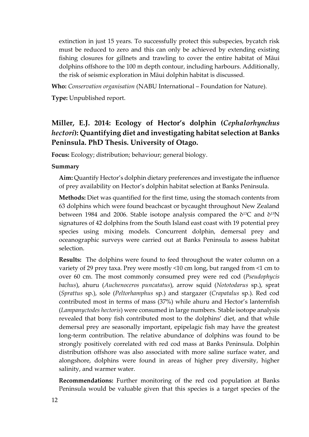extinction in just 15 years. To successfully protect this subspecies, bycatch risk must be reduced to zero and this can only be achieved by extending existing fishing closures for gillnets and trawling to cover the entire habitat of Māui dolphins offshore to the 100 m depth contour, including harbours. Additionally, the risk of seismic exploration in Māui dolphin habitat is discussed.

**Who:** *Conservation organisation* (NABU International – Foundation for Nature).

**Type:** Unpublished report.

## **Miller, E.J. 2014: Ecology of Hector's dolphin (***Cephalorhynchus hectori***): Quantifying diet and investigating habitat selection at Banks Peninsula. PhD Thesis. University of Otago.**

**Focus:** Ecology; distribution; behaviour; general biology.

#### **Summary**

**Aim:** Quantify Hector's dolphin dietary preferences and investigate the influence of prey availability on Hector's dolphin habitat selection at Banks Peninsula.

**Methods:** Diet was quantified for the first time, using the stomach contents from 63 dolphins which were found beachcast or bycaught throughout New Zealand between 1984 and 2006. Stable isotope analysis compared the  $\delta^{13}C$  and  $\delta^{15}N$ signatures of 42 dolphins from the South Island east coast with 19 potential prey species using mixing models. Concurrent dolphin, demersal prey and oceanographic surveys were carried out at Banks Peninsula to assess habitat selection.

**Results:** The dolphins were found to feed throughout the water column on a variety of 29 prey taxa. Prey were mostly <10 cm long, but ranged from <1 cm to over 60 cm. The most commonly consumed prey were red cod (*Pseudophycis bachus*), ahuru (*Auchenoceros puncatatus*), arrow squid (*Nototodarus* sp.), sprat (*Sprattus* sp.), sole (*Peltorhamphus* sp.) and stargazer (*Crapatalus* sp.). Red cod contributed most in terms of mass (37%) while ahuru and Hector's lanternfish (*Lampanyctodes hectoris*) were consumed in large numbers. Stable isotope analysis revealed that bony fish contributed most to the dolphins' diet, and that while demersal prey are seasonally important, epipelagic fish may have the greatest long-term contribution. The relative abundance of dolphins was found to be strongly positively correlated with red cod mass at Banks Peninsula. Dolphin distribution offshore was also associated with more saline surface water, and alongshore, dolphins were found in areas of higher prey diversity, higher salinity, and warmer water.

**Recommendations:** Further monitoring of the red cod population at Banks Peninsula would be valuable given that this species is a target species of the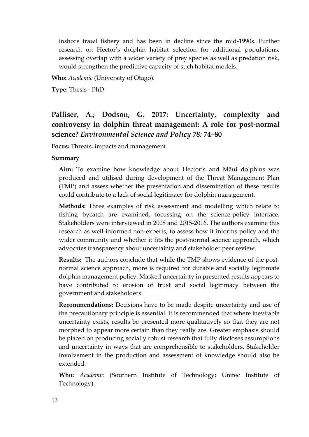inshore trawl fishery and has been in decline since the mid-1990s. Further research on Hector's dolphin habitat selection for additional populations, assessing overlap with a wider variety of prey species as well as predation risk, would strengthen the predictive capacity of such habitat models.

**Who:** *Academic* (University of Otago).

**Type:** Thesis - PhD

### **Palliser, A.; Dodson, G. 2017: Uncertainty, complexity and controversy in dolphin threat management: A role for post-normal science?** *Environmental Science and Policy 78:* **74–80**

**Focus:** Threats, impacts and management.

#### **Summary**

**Aim:** To examine how knowledge about Hector's and Māui dolphins was produced and utilised during development of the Threat Management Plan (TMP) and assess whether the presentation and dissemination of these results could contribute to a lack of social legitimacy for dolphin management.

**Methods:** Three examples of risk assessment and modelling which relate to fishing bycatch are examined, focussing on the science-policy interface. Stakeholders were interviewed in 2008 and 2015-2016. The authors examine this research as well-informed non-experts, to assess how it informs policy and the wider community and whether it fits the post-normal science approach, which advocates transparency about uncertainty and stakeholder peer review.

**Results:** The authors conclude that while the TMP shows evidence of the postnormal science approach, more is required for durable and socially legitimate dolphin management policy. Masked uncertainty in presented results appears to have contributed to erosion of trust and social legitimacy between the government and stakeholders.

**Recommendations:** Decisions have to be made despite uncertainty and use of the precautionary principle is essential. It is recommended that where inevitable uncertainty exists, results be presented more qualitatively so that they are not morphed to appear more certain than they really are. Greater emphasis should be placed on producing socially robust research that fully discloses assumptions and uncertainty in ways that are comprehensible to stakeholders. Stakeholder involvement in the production and assessment of knowledge should also be extended.

**Who:** *Academic* (Southern Institute of Technology; Unitec Institute of Technology).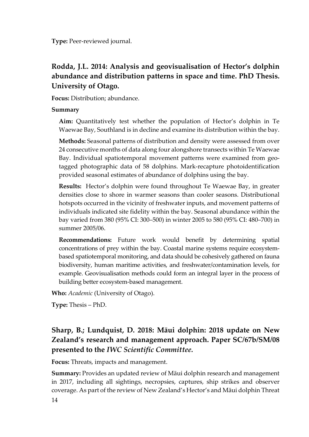**Type:** Peer-reviewed journal.

## **Rodda, J.L. 2014: Analysis and geovisualisation of Hector's dolphin abundance and distribution patterns in space and time. PhD Thesis. University of Otago.**

**Focus:** Distribution; abundance.

#### **Summary**

**Aim:** Quantitatively test whether the population of Hector's dolphin in Te Waewae Bay, Southland is in decline and examine its distribution within the bay.

**Methods:** Seasonal patterns of distribution and density were assessed from over 24 consecutive months of data along four alongshore transects within Te Waewae Bay. Individual spatiotemporal movement patterns were examined from geotagged photographic data of 58 dolphins. Mark-recapture photoidentification provided seasonal estimates of abundance of dolphins using the bay.

**Results:** Hector's dolphin were found throughout Te Waewae Bay, in greater densities close to shore in warmer seasons than cooler seasons. Distributional hotspots occurred in the vicinity of freshwater inputs, and movement patterns of individuals indicated site fidelity within the bay. Seasonal abundance within the bay varied from 380 (95% CI: 300–500) in winter 2005 to 580 (95% CI: 480–700) in summer 2005/06.

**Recommendations:** Future work would benefit by determining spatial concentrations of prey within the bay. Coastal marine systems require ecosystembased spatiotemporal monitoring, and data should be cohesively gathered on fauna biodiversity, human maritime activities, and freshwater/contamination levels, for example. Geovisualisation methods could form an integral layer in the process of building better ecosystem-based management.

**Who:** *Academic* (University of Otago).

**Type:** Thesis – PhD.

## **Sharp, B.; Lundquist, D. 2018: Māui dolphin: 2018 update on New Zealand's research and management approach. Paper SC/67b/SM/08 presented to the** *IWC Scientific Committee.*

**Focus:** Threats, impacts and management.

**Summary:** Provides an updated review of Māui dolphin research and management in 2017, including all sightings, necropsies, captures, ship strikes and observer coverage. As part of the review of New Zealand's Hector's and Māui dolphin Threat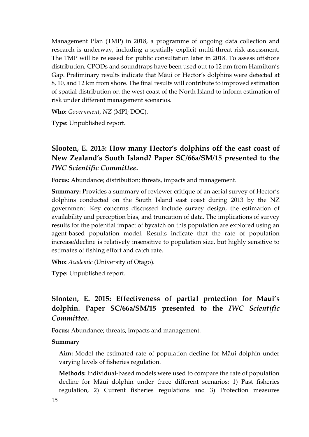Management Plan (TMP) in 2018, a programme of ongoing data collection and research is underway, including a spatially explicit multi-threat risk assessment. The TMP will be released for public consultation later in 2018. To assess offshore distribution, CPODs and soundtraps have been used out to 12 nm from Hamilton's Gap. Preliminary results indicate that Māui or Hector's dolphins were detected at 8, 10, and 12 km from shore. The final results will contribute to improved estimation of spatial distribution on the west coast of the North Island to inform estimation of risk under different management scenarios.

**Who:** *Government, NZ* (MPI; DOC).

**Type:** Unpublished report.

### **Slooten, E. 2015: How many Hector's dolphins off the east coast of New Zealand's South Island? Paper SC/66a/SM/15 presented to the**  *IWC Scientific Committee.*

**Focus:** Abundance; distribution; threats, impacts and management.

**Summary:** Provides a summary of reviewer critique of an aerial survey of Hector's dolphins conducted on the South Island east coast during 2013 by the NZ government. Key concerns discussed include survey design, the estimation of availability and perception bias, and truncation of data. The implications of survey results for the potential impact of bycatch on this population are explored using an agent-based population model. Results indicate that the rate of population increase/decline is relatively insensitive to population size, but highly sensitive to estimates of fishing effort and catch rate.

**Who:** *Academic* (University of Otago).

**Type:** Unpublished report.

### **Slooten, E. 2015: Effectiveness of partial protection for Maui's dolphin. Paper SC/66a/SM/15 presented to the** *IWC Scientific Committee.*

**Focus:** Abundance; threats, impacts and management.

#### **Summary**

**Aim:** Model the estimated rate of population decline for Māui dolphin under varying levels of fisheries regulation.

**Methods:** Individual-based models were used to compare the rate of population decline for Māui dolphin under three different scenarios: 1) Past fisheries regulation, 2) Current fisheries regulations and 3) Protection measures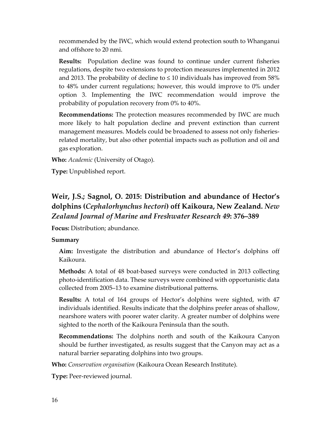recommended by the IWC, which would extend protection south to Whanganui and offshore to 20 nmi.

**Results:** Population decline was found to continue under current fisheries regulations, despite two extensions to protection measures implemented in 2012 and 2013. The probability of decline to  $\leq 10$  individuals has improved from 58% to 48% under current regulations; however, this would improve to 0% under option 3. Implementing the IWC recommendation would improve the probability of population recovery from 0% to 40%.

**Recommendations:** The protection measures recommended by IWC are much more likely to halt population decline and prevent extinction than current management measures. Models could be broadened to assess not only fisheriesrelated mortality, but also other potential impacts such as pollution and oil and gas exploration.

**Who:** *Academic* (University of Otago).

**Type:** Unpublished report.

## **Weir, J.S.; Sagnol, O. 2015: Distribution and abundance of Hector's dolphins (***Cephalorhynchus hectori***) off Kaikoura, New Zealand.** *New Zealand Journal of Marine and Freshwater Research 49***: 376–389**

**Focus:** Distribution; abundance.

#### **Summary**

**Aim:** Investigate the distribution and abundance of Hector's dolphins off Kaikoura.

**Methods:** A total of 48 boat-based surveys were conducted in 2013 collecting photo-identification data. These surveys were combined with opportunistic data collected from 2005–13 to examine distributional patterns.

**Results:** A total of 164 groups of Hector's dolphins were sighted, with 47 individuals identified. Results indicate that the dolphins prefer areas of shallow, nearshore waters with poorer water clarity. A greater number of dolphins were sighted to the north of the Kaikoura Peninsula than the south.

**Recommendations:** The dolphins north and south of the Kaikoura Canyon should be further investigated, as results suggest that the Canyon may act as a natural barrier separating dolphins into two groups.

**Who:** *Conservation organisation* (Kaikoura Ocean Research Institute).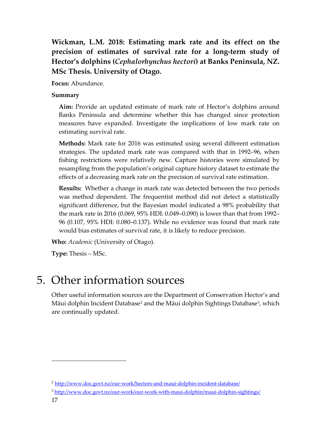**Wickman, L.M. 2018: Estimating mark rate and its effect on the precision of estimates of survival rate for a long-term study of Hector's dolphins (***Cephalorhynchus hectori***) at Banks Peninsula, NZ. MSc Thesis. University of Otago.**

**Focus:** Abundance.

#### **Summary**

**Aim:** Provide an updated estimate of mark rate of Hector's dolphins around Banks Peninsula and determine whether this has changed since protection measures have expanded. Investigate the implications of low mark rate on estimating survival rate.

**Methods:** Mark rate for 2016 was estimated using several different estimation strategies. The updated mark rate was compared with that in 1992–96, when fishing restrictions were relatively new. Capture histories were simulated by resampling from the population's original capture history dataset to estimate the effects of a decreasing mark rate on the precision of survival rate estimation.

**Results:** Whether a change in mark rate was detected between the two periods was method dependent. The frequentist method did not detect a statistically significant difference, but the Bayesian model indicated a 98% probability that the mark rate in 2016 (0.069, 95% HDI: 0.049–0.090) is lower than that from 1992– 96 (0.107, 95% HDI: 0.080–0.137). While no evidence was found that mark rate would bias estimates of survival rate, it is likely to reduce precision.

**Who:** *Academic* (University of Otago).

**Type:** Thesis – MSc.

## 5. Other information sources

Other useful information sources are the Department of Conservation Hector's and Māui dolphin Incident Database<sup>[2](#page-18-0)</sup> and the Māui dolphin Sightings Database<sup>3</sup>, which are continually updated.

<span id="page-18-1"></span><sup>3</sup> <http://www.doc.govt.nz/our-work/our-work-with-maui-dolphin/maui-dolphin-sightings/>

 $\overline{a}$ 

<span id="page-18-0"></span><sup>2</sup> <http://www.doc.govt.nz/our-work/hectors-and-maui-dolphin-incident-database/>